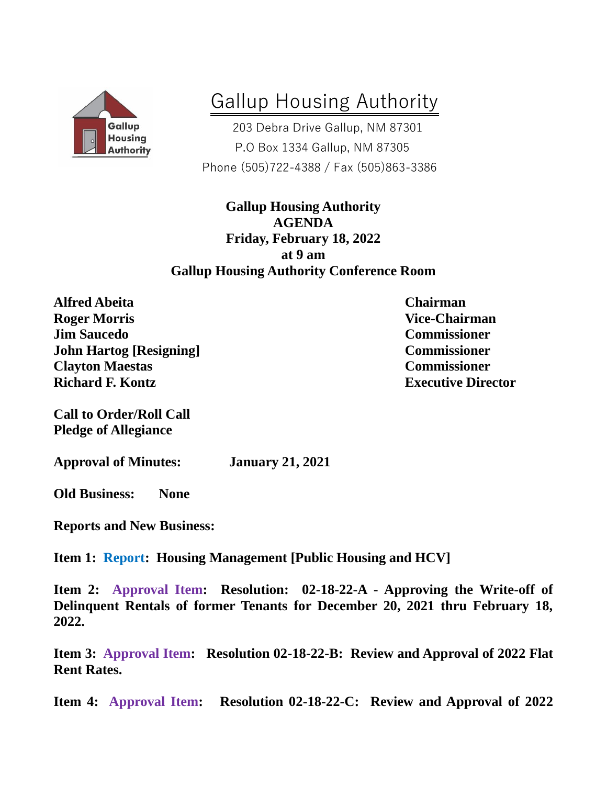

## Gallup Housing Authority

 203 Debra Drive Gallup, NM 87301 P.O Box 1334 Gallup, NM 87305 Phone (505)722-4388 / Fax (505)863-3386

**Gallup Housing Authority AGENDA Friday, February 18, 2022 at 9 am Gallup Housing Authority Conference Room**

**Alfred Abeita Chairman Roger Morris Vice-Chairman Jim Saucedo Commissioner John Hartog [Resigning] Commissioner Clayton Maestas Commissioner Richard F. Kontz Executive Director**

**Call to Order/Roll Call Pledge of Allegiance**

**Approval of Minutes: January 21, 2021**

**Old Business: None** 

**Reports and New Business:**

**Item 1: Report: Housing Management [Public Housing and HCV]**

**Item 2: Approval Item: Resolution: 02-18-22-A - Approving the Write-off of Delinquent Rentals of former Tenants for December 20, 2021 thru February 18, 2022.** 

**Item 3: Approval Item: Resolution 02-18-22-B: Review and Approval of 2022 Flat Rent Rates.**

**Item 4: Approval Item: Resolution 02-18-22-C: Review and Approval of 2022**